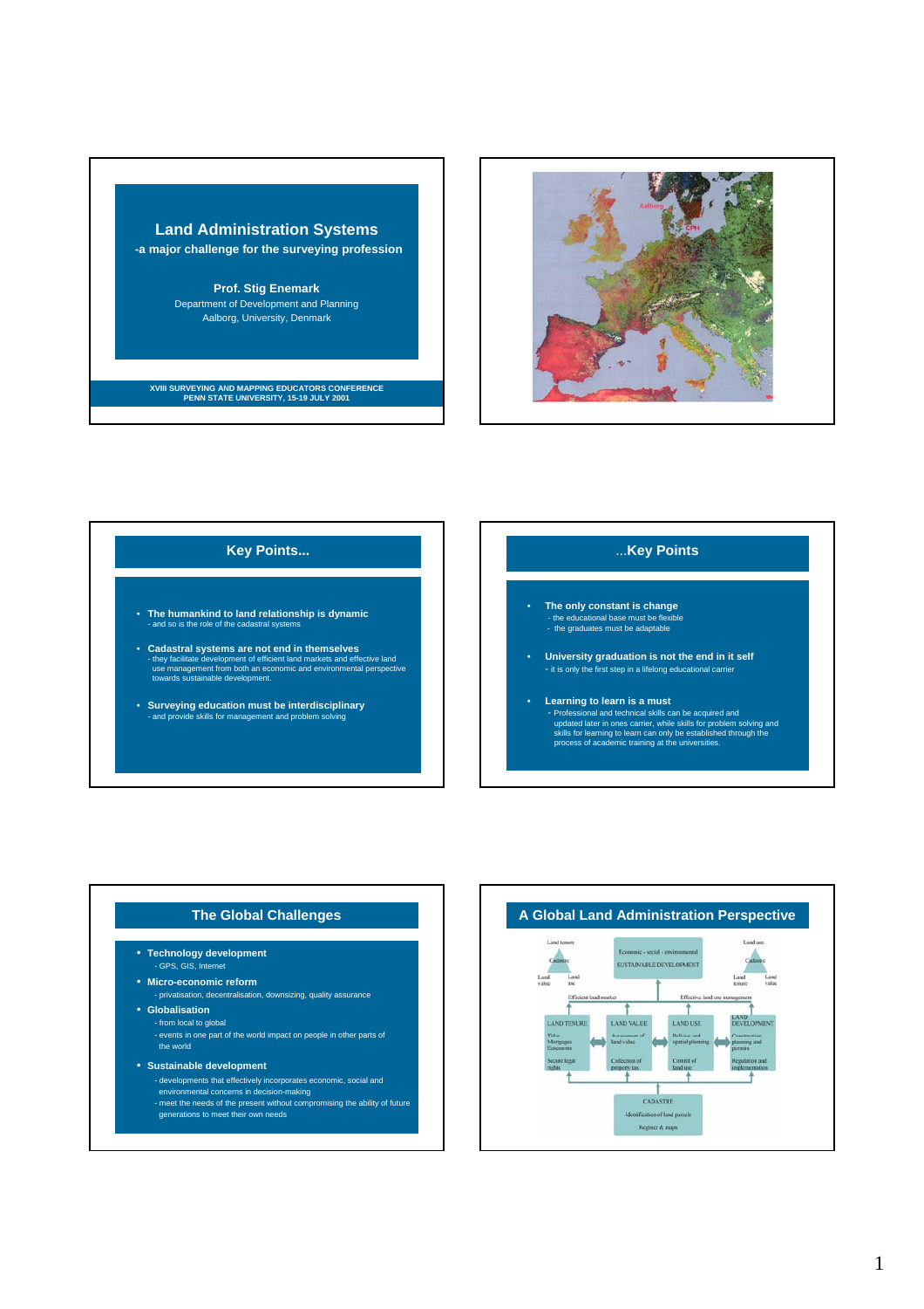



### **Key Points...**

- **The humankind to land relationship is dynamic** d so is the role of the cadastral systems
- Cadastral systems are not end in themselves<br>- they facilitate development of efficient land markets and effective land<br>use management from both an economic and environmental perspective<br>towards sustainable development.
- **Surveying education must be interdisciplinary** - and provide skills for management and problem solving

## ...**Key Points**

- **The only constant is change** - the educational base must be flexible - the graduates must be adaptable
- **University graduation is not the end in it self** - it is only the first step in a lifelong educational carrier
	- **Learning to learn is a must** - Professional and technical skills can be acquired and<br>updated later in ones carrier, while skills for problem solving and<br>skills for learning to learn can only be established through the<br>process of academic training at t

- **Technology development**
- GPS, GIS, Internet
- **Micro-economic reform** - privatisation, decentralisation, downsizing, quality assurance
- **Globalisation**
	- from local to global
	- events in one part of the world impact on people in other parts of the world
- **Sustainable development**
	- developments that effectively incorporates economic, social and environmental concerns in decision-making - meet the needs of the present without compromising the ability of future
	- generations to meet their own needs

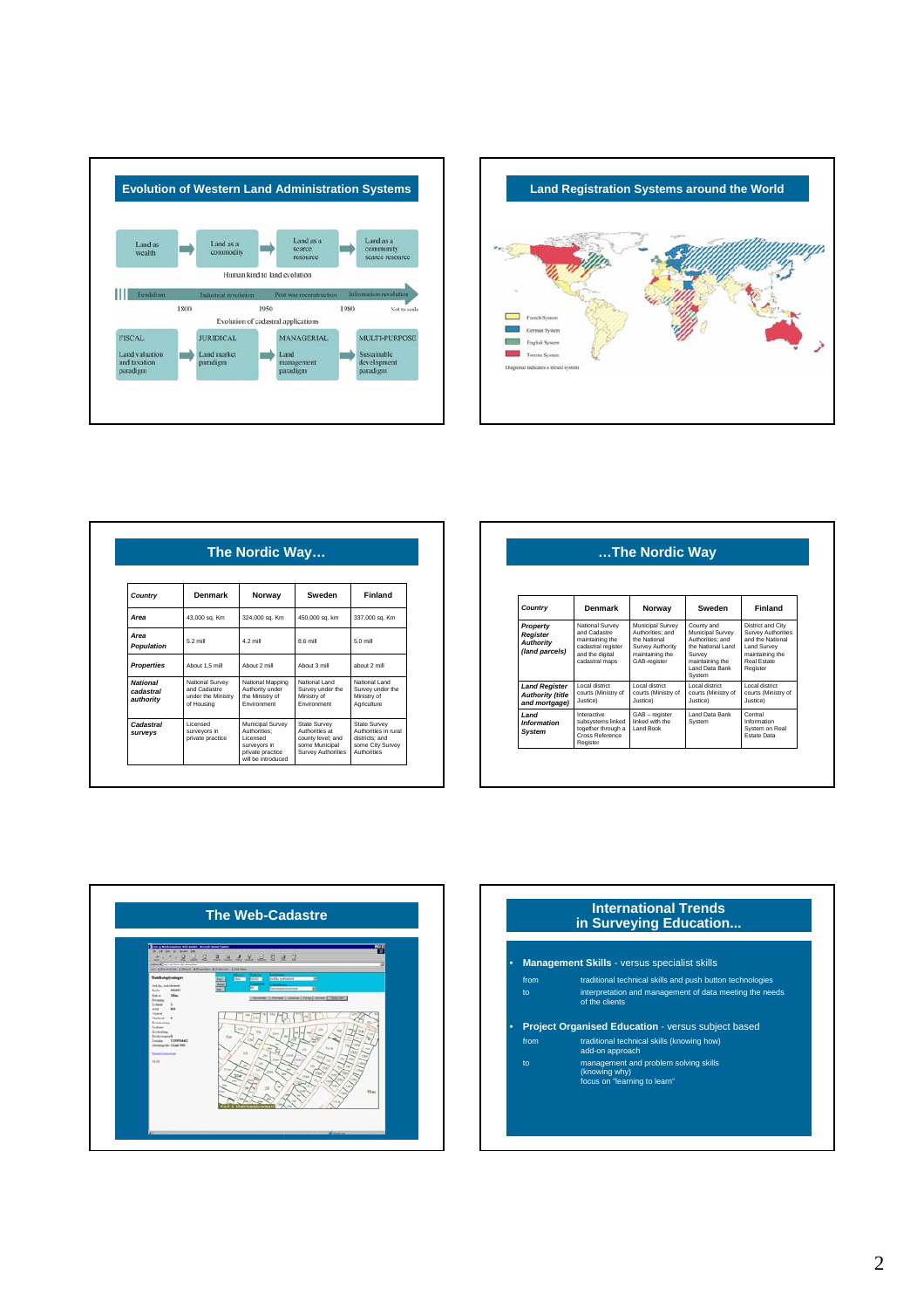



|                                           | The Nordic Way                                                      |                                                                                                         |                                                                                             |                                                                                           |  |
|-------------------------------------------|---------------------------------------------------------------------|---------------------------------------------------------------------------------------------------------|---------------------------------------------------------------------------------------------|-------------------------------------------------------------------------------------------|--|
| Country                                   | Denmark                                                             | Norway                                                                                                  | Sweden                                                                                      | Finland                                                                                   |  |
| Area                                      | 43,000 sq. Km                                                       | 324,000 sq. Km                                                                                          | 450,000 sq. km                                                                              | 337,000 sq. Km                                                                            |  |
| Area<br><b>Population</b>                 | 5.2 mill                                                            | 4.2 mill                                                                                                | 8.6 mill                                                                                    | 5.0 mill                                                                                  |  |
| <b>Properties</b>                         | About 1.5 mill                                                      | Ahout 2 mill                                                                                            | About 3 mill                                                                                | about 2 mill                                                                              |  |
| <b>National</b><br>cadastral<br>authority | National Survey<br>and Cadastre<br>under the Ministry<br>of Housing | National Mapping<br>Authority under<br>the Ministry of<br>Environment                                   | National Land<br>Survey under the<br>Ministry of<br>Environment                             | National Land<br>Survey under the<br>Ministry of<br>Agriculture                           |  |
| Cadastral<br>surveys                      | Licensed<br>surveyors in<br>private practice                        | Municipal Survey<br>Authorities:<br>Licensed<br>survevors in<br>private practice<br>will be introduced. | State Survey<br>Authorities at<br>county level: and<br>some Municipal<br>Survey Authorities | State Survey<br>Authorities in rural<br>districts: and<br>some City Survey<br>Authorities |  |

|                                                                  |                                                                                                               | The Nordic Way                                                                                              |                                                                                                                                  |                                                                                                                          |
|------------------------------------------------------------------|---------------------------------------------------------------------------------------------------------------|-------------------------------------------------------------------------------------------------------------|----------------------------------------------------------------------------------------------------------------------------------|--------------------------------------------------------------------------------------------------------------------------|
| Country                                                          | Denmark                                                                                                       | Norway                                                                                                      | Sweden                                                                                                                           | <b>Finland</b>                                                                                                           |
| Property<br>Register<br><b>Authority</b><br>(land parcels)       | National Survey<br>and Cadastre<br>maintaining the<br>cadastral register<br>and the digital<br>cadastral maps | Municipal Survey<br>Authorities: and<br>the National<br>Survey Authority<br>maintaining the<br>GAB-register | County and<br>Municipal Survey<br>Authorities: and<br>the National Land<br>Survey<br>maintaining the<br>Land Data Bank<br>System | District and City<br>Survey Authorities<br>and the National<br>Land Survey<br>maintaining the<br>Real Estate<br>Register |
| <b>Land Register</b><br><b>Authority (title</b><br>and mortgage) | Local district<br>courts (Ministry of<br>Justice)                                                             | Local district<br>courts (Ministry of<br>Justice)                                                           | Local district<br>courts (Ministry of<br>Justice)                                                                                | Local district<br>courts (Ministry of<br>Justice)                                                                        |
| <b>Land</b><br>Information<br>System                             | Interactive<br>subsystems linked<br>together through a<br>Cross Reference<br>Register                         | GAB - register<br>linked with the<br>Land Book                                                              | Land Data Bank<br>System                                                                                                         | Central<br>Information<br>System on Real<br>Estate Data                                                                  |



|               | in Surveying Education                                        |
|---------------|---------------------------------------------------------------|
|               | <b>Management Skills - versus specialist skills</b>           |
| from          | traditional technical skills and push button technologies     |
| $\mathsf{to}$ | interpretation and management of data meeting the needs       |
|               | of the clients                                                |
|               | <b>Project Organised Education - versus subject based</b>     |
| from          | traditional technical skills (knowing how)<br>add-on approach |
| $\mathsf{to}$ | management and problem solving skills<br>(knowing why)        |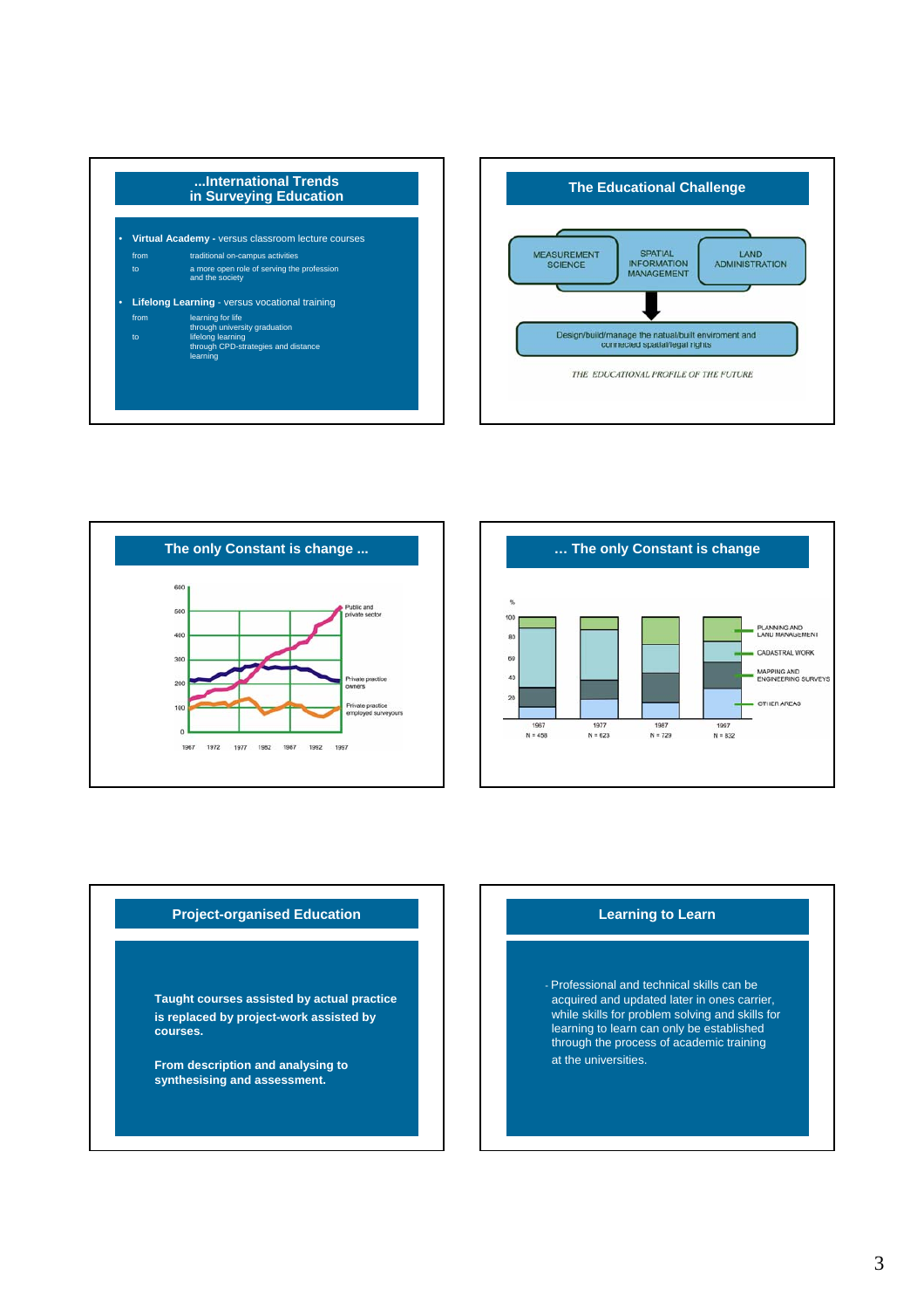







## **Project-organised Education**

**Taught courses assisted by actual practice is replaced by project-work assisted by courses.**

**From description and analysing to synthesising and assessment.**

#### **Learning to Learn**

- Professional and technical skills can be acquired and updated later in ones carrier, while skills for problem solving and skills for learning to learn can only be established through the process of academic training at the universities.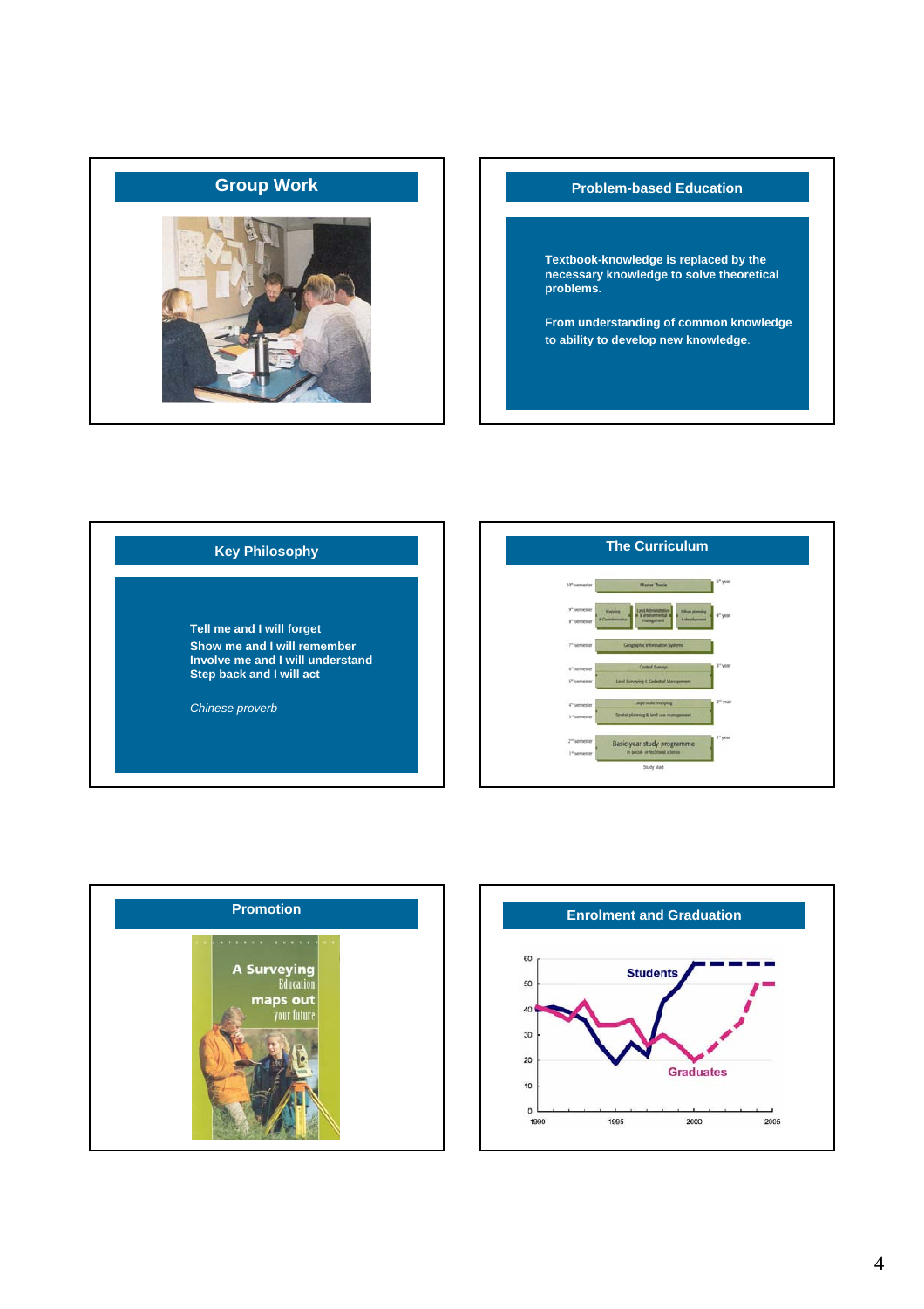

# **Group Work Problem-based Education**

**Textbook-knowledge is replaced by the necessary knowledge to solve theoretical problems.**

**From understanding of common knowledge to ability to develop new knowledge**.